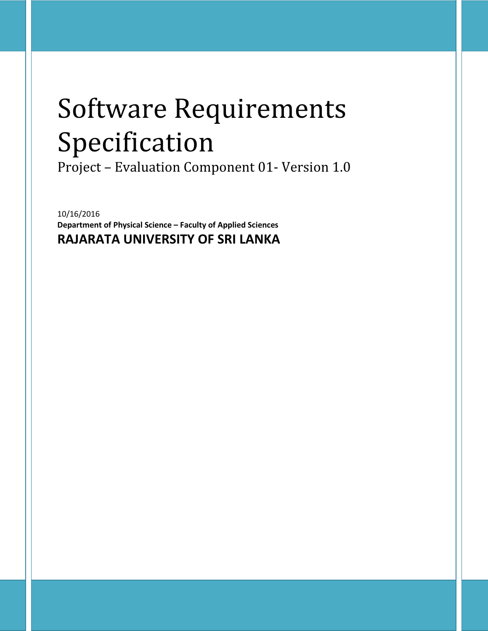# Software Requirements Specification

Project – Evaluation Component 01- Version 1.0

10/16/2016 Department of Physical Science – Faculty of Applied Sciences RAJARATA UNIVERSITY OF SRI LANKA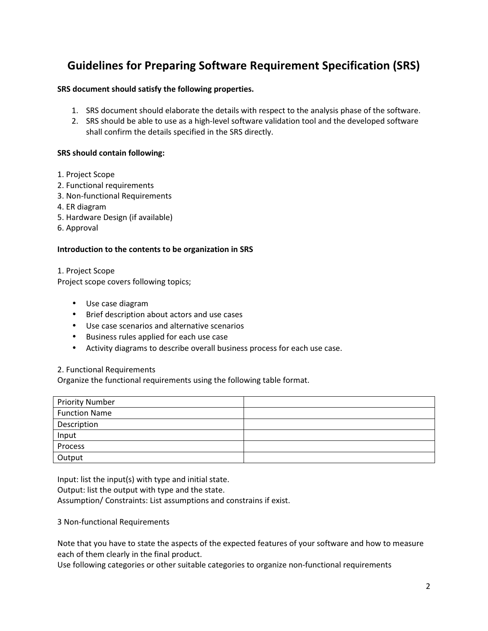# Guidelines for Preparing Software Requirement Specification (SRS)

# SRS document should satisfy the following properties.

- 1. SRS document should elaborate the details with respect to the analysis phase of the software.
- 2. SRS should be able to use as a high-level software validation tool and the developed software shall confirm the details specified in the SRS directly.

# SRS should contain following:

- 1. Project Scope
- 2. Functional requirements
- 3. Non-functional Requirements
- 4. ER diagram
- 5. Hardware Design (if available)
- 6. Approval

#### Introduction to the contents to be organization in SRS

1. Project Scope Project scope covers following topics;

- Use case diagram
- Brief description about actors and use cases
- Use case scenarios and alternative scenarios
- Business rules applied for each use case
- Activity diagrams to describe overall business process for each use case.

#### 2. Functional Requirements

Organize the functional requirements using the following table format.

| <b>Priority Number</b> |  |
|------------------------|--|
| <b>Function Name</b>   |  |
| Description            |  |
| Input                  |  |
| Process                |  |
| Output                 |  |

Input: list the input(s) with type and initial state.

Output: list the output with type and the state.

Assumption/ Constraints: List assumptions and constrains if exist.

3 Non-functional Requirements

Note that you have to state the aspects of the expected features of your software and how to measure each of them clearly in the final product.

Use following categories or other suitable categories to organize non-functional requirements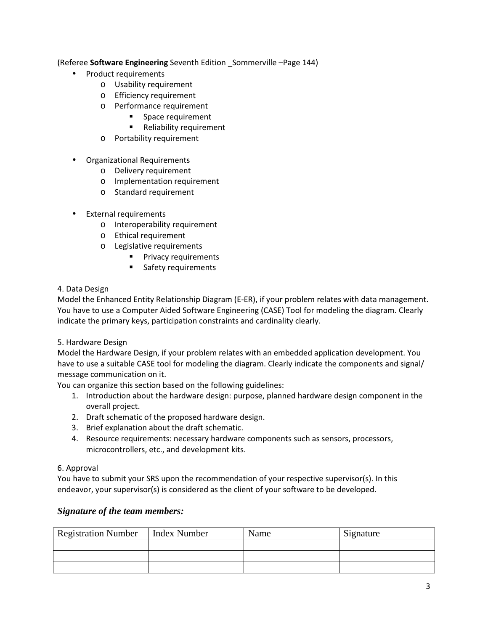# (Referee Software Engineering Seventh Edition \_Sommerville –Page 144)

- Product requirements
	- o Usability requirement
	- o Efficiency requirement
	- o Performance requirement
		- **Space requirement**
		- **Reliability requirement**
	- o Portability requirement
- Organizational Requirements
	- o Delivery requirement
	- o Implementation requirement
	- o Standard requirement
- **External requirements** 
	- o Interoperability requirement
	- o Ethical requirement
	- o Legislative requirements
		- **Privacy requirements**
		- **Safety requirements**

# 4. Data Design

Model the Enhanced Entity Relationship Diagram (E-ER), if your problem relates with data management. You have to use a Computer Aided Software Engineering (CASE) Tool for modeling the diagram. Clearly indicate the primary keys, participation constraints and cardinality clearly.

# 5. Hardware Design

Model the Hardware Design, if your problem relates with an embedded application development. You have to use a suitable CASE tool for modeling the diagram. Clearly indicate the components and signal/ message communication on it.

You can organize this section based on the following guidelines:

- 1. Introduction about the hardware design: purpose, planned hardware design component in the overall project.
- 2. Draft schematic of the proposed hardware design.
- 3. Brief explanation about the draft schematic.
- 4. Resource requirements: necessary hardware components such as sensors, processors, microcontrollers, etc., and development kits.

# 6. Approval

You have to submit your SRS upon the recommendation of your respective supervisor(s). In this endeavor, your supervisor(s) is considered as the client of your software to be developed.

# *Signature of the team members:*

| <b>Registration Number</b> | <b>Index Number</b> | Name | Signature |
|----------------------------|---------------------|------|-----------|
|                            |                     |      |           |
|                            |                     |      |           |
|                            |                     |      |           |